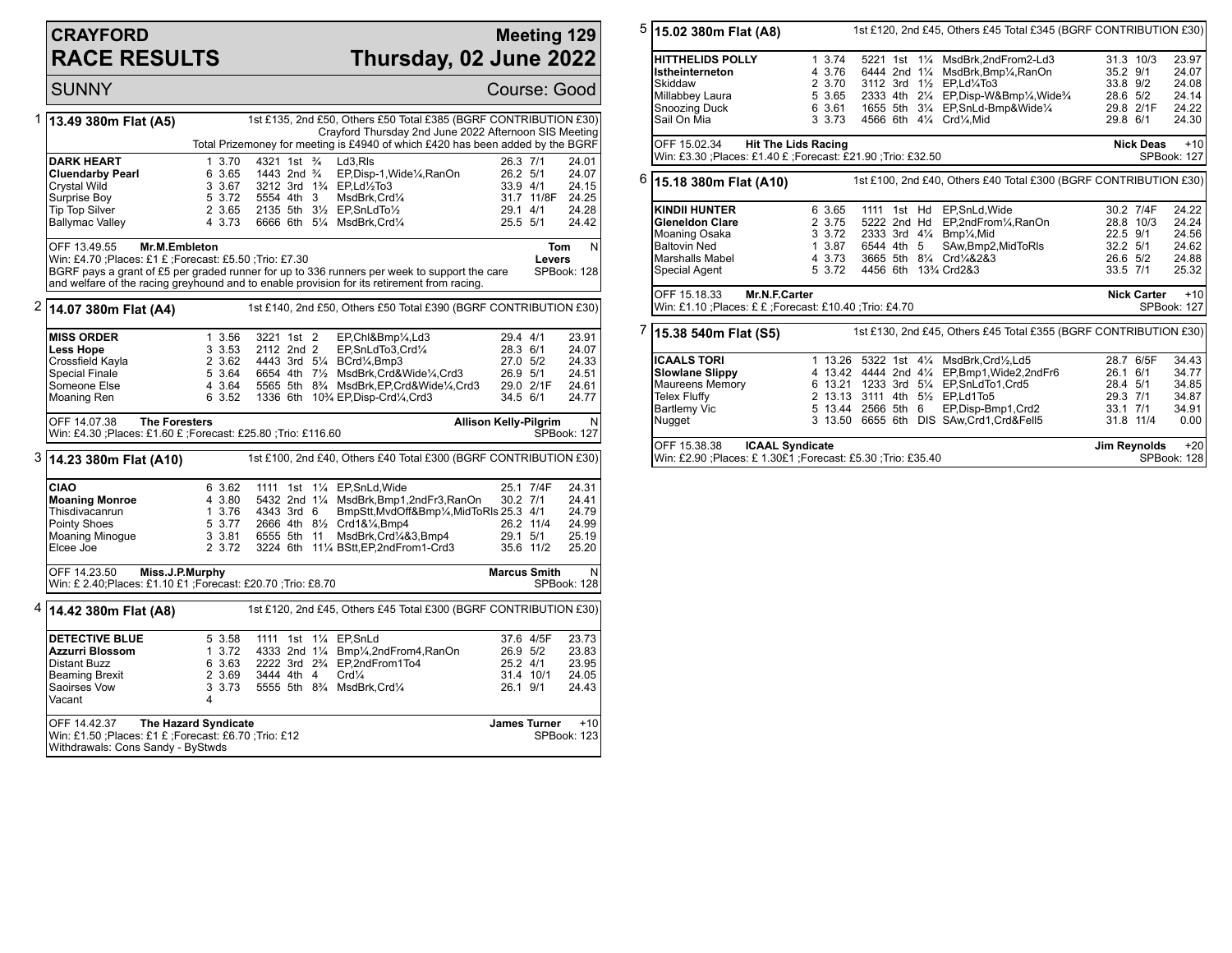## **CRAYFORD RACE RESULTS**

## **Meeting 129 Thursday, 02 June 2022**

SUNNY Course: Good 1 **13.49 380m Flat (A5)** 1st £135, 2nd £50, Others £50 Total £385 (BGRF CONTRIBUTION £30) Crayford Thursday 2nd June 2022 Afternoon SIS Meeting Total Prizemoney for meeting is £4940 of which £420 has been added by the BGRF **DARK HEART** 1 3.70 4321 1st <sup>3</sup> Ld3,Rls 26.3 7/1 24.01<br> **Cluendarby Pearl** 6 3.65 1443 2nd <sup>3</sup> EP.Disp-1.Wide<sup>1</sup>/<sub>4</sub>.RanOn 26.2 5/1 24.07 **Cluendarby Pearl** 6 3.65 1443 2nd ¾ EP,Disp-1,Wide¼,RanOn 26.2 5/1 24.07<br>Crystal Wild 3 3.67 3212 3rd 1¾ EP,Ld½To3 33.9 4/1 24.15 Crystal Wild 3 3.67 3212 3rd 1¾ EP,Ld½To3 33.9 4/1 24.15<br>Surprise Boy 5 3.72 5554 4th 3 MsdBrk,Crd¼ 31.7 11/8F 24.25 Surprise Boy 5 3.72 5554 4th 3 MsdBrk,Crd¼ 31.7 11/8F 24.25<br>Tip Top Silver 5 3.65 2135 5th 31⁄3 EP.SnLdTo1⁄3 329.1 4/1 24.28 Tip Top Silver 2 3.65 2135 5th 3½ EP, SnLdTo 1/2 20.1 4/1 24.28<br>Ballymac Valley 2 3.73 6666 6th 51/4 MsdBrk, Crd1/4 25.5 5/1 24.42 6666 6th 51/<sub>4</sub> MsdBrk,Crd1/<sub>4</sub> OFF 13.49.55 **Mr.M.Embleton** Win: £4.70 ;Places: £1 £ ;Forecast: £5.50 ;Trio: £7.30 BGRF pays a grant of £5 per graded runner for up to 336 runners per week to support the care and welfare of the racing greyhound and to enable provision for its retirement from racing. **Tom Levers** N SPBook: 128 2 **14.07 380m Flat (A4)** 1st £140, 2nd £50, Others £50 Total £390 (BGRF CONTRIBUTION £30) **MISS ORDER** 1 3.56 3221 1st 2 EP,Chl&Bmp¼,Ld3 29.4 4/1 23.91<br> **Less Hope** 3 3.53 2112 2nd 2 EP.SnLdTo3.Crd¼ 28.3 6/1 24.07 **Less Hope** 3 3.53 2112 2nd 2 EP,SnLdTo3,Crd¼ 28.3 6/1<br>Crossfield Kayla 2 3.62 4443 3rd 5¼ BCrd¼,Bmp3 27.0 5/2 Crossfield Kayla 2 3.62 4443 3rd 5¼ BCrd¼,Bmp3 27.0 5/2 24.33 Special Finale **5 3.64 6654 4th 7½ MsdBrk,Crd&Wide¼,Crd3** 26.9 5/1 24.51<br>Someone Else 3.64 5565 5th 8<sup>3</sup>/<sub>4</sub> MsdBrk,EP,Crd&Wide¼,Crd3 29.0 2/1F 24.61 Someone Else 4 3.64 5565 5th 8¾ MsdBrk,EP,Crd&Wide¼,Crd3 29.0 2/1F 24.61 1336 6th 10<sup>3</sup>/<sub>4</sub> EP,Disp-Crd<sup>1</sup>/<sub>4</sub>,Crd3 OFF 14.07.38 **The Foresters** Win: £4.30 ;Places: £1.60 £ ;Forecast: £25.80 ;Trio: £116.60 **Allison Kelly-Pilgrim** N SPBook: 127 3 **14.23 380m Flat (A10)** 1st £100, 2nd £40, Others £40 Total £300 (BGRF CONTRIBUTION £30) **CIAO** 6 3.62 1111 1st 11/<sub>4</sub> EP,SnLd,Wide 25.1 7/4F 24.31<br>**Moaning Monroe** 4 3.80 5432 2nd 11/<sub>4</sub> MsdBrk,Bmp1,2ndFr3,RanOn 30.2 7/1 24.41 **Moaning Monroe** 4 3.80 5432 2nd 11/<sub>4</sub> MsdBrk,Bmp1,2ndFr3,RanOn 30.2 7/1 24.41<br>Thisdivacanrun 1 3.76 4343 3rd 6 BmpStt.MvdOff&Bmp1/<sub>4</sub>.MidToRls 25.3 4/1 24.79 Thisdivacanrun 1 3.76 4343 3rd 6 BmpStt,MvdOff&Bmp¼,MidToRls 25.3 4/1 24.79 Pointy Shoes 5 3.77 2666 4th 8½ Crd1&¼,Bmp4 26.2 11/4 24.99 Moaning Minogue 3 3.81 6555 5th 11 MsdBrk,Crd¼&3,Bmp4 29.1 5/1 25.19<br>Elcee Joe 2 3.72 3224 6th 11¼ BStt.EP.2ndFrom1-Crd3 35.6 11/2 25.20 3224 6th 11¼ BStt,EP,2ndFrom1-Crd3 OFF 14.23.50 **Miss.J.P.Murphy** Win: £ 2.40;Places: £1.10 £1 ;Forecast: £20.70 ;Trio: £8.70 **Marcus Smith** N SPBook: 128 4 **14.42 380m Flat (A8)** 1st £120, 2nd £45, Others £45 Total £300 (BGRF CONTRIBUTION £30) **DETECTIVE BLUE** 5 3.58 1111 1st 11/<sub>4</sub> EP, SnLd 37.6 4/5 37.6 4/5 37.73<br>**Azzurri Blossom** 1 3.72 4333 2nd 11/<sub>4</sub> Bmp<sup>1</sup>/<sub>4</sub> 2nd From4 RanOn 26.9 5/2 23.83 **Azzurri Blossom** 1 3.72 4333 2nd 1<sup>1</sup>/<sub>4</sub> Bmp<sup>1</sup>/<sub>4</sub>,2ndFrom4,RanOn 26.9 5/2 23.83<br>Distant Buzz 6 3.63 2222 3rd 2<sup>3</sup>/<sub>4</sub> EP,2ndFrom1To4 25.2 4/1 23.95 Distant Buzz 6 3.63 2222 3rd 2¾ EP,2ndFrom1To4 25.2 4/1 23.95 Beaming Brexit 2 3.69 3444 4th 4 Crd¼ 31.4 10/1 24.05<br>Saoirses Vow 3 3.73 5555 5th 8¼ MsdBrk.Crd¼ 26.1 9/1 24.43 3 3.73 5555 5th 8<sup>3</sup>/<sub>2</sub> MsdBrk,Crd<sup>1</sup>/<sub>4</sub> Vacant OFF 14.42.37 **The Hazard Syndicate** Win: £1.50 ;Places: £1 £ ;Forecast: £6.70 ;Trio: £12 Withdrawals: Cons Sandy - ByStwds **James Turner** +10 SPBook: 123

5 **15.02 380m Flat (A8)** 1st £120, 2nd £45, Others £45 Total £345 (BGRF CONTRIBUTION £30) **HITTHELIDS POLLY** 1 3.74 5221 1st 11/<sub>4</sub> MsdBrk,2ndFrom2-Ld3 31.3 10/3 23.97<br> **Istheinterneton** 4 3.76 6444 2nd 11/<sub>4</sub> MsdBrk.Bmp1/<sub>4</sub>.RanOn 35.2 9/1 24.07 **Istheinterneton** 4 3.76 6444 2nd 1¼ MsdBrk,Bmp¼,RanOn 35.2 9/1 24.07 Skiddaw 2 3.70 3112 3rd 1½ EP,Ld¼To3 33.8 9/2 24.08 Millabbey Laura 5 3.65 2333 4th 2¼ EP,Disp-W&Bmp¼,Wide¾ 28.6 5/2 24.14 Snoozing Duck 6 3.61 1655 5th 3¼ EP,SnLd-Bmp&Wide¼ 29.8 2/1F 24.22 4566 6th 41% Crd1% Mid OFF 15.02.34 **Hit The Lids Racing** Win: £3.30 ;Places: £1.40 £ ;Forecast: £21.90 ;Trio: £32.50 **Nick Deas** +10 SPBook: 127 6 **15.18 380m Flat (A10)** 1st £100, 2nd £40, Others £40 Total £300 (BGRF CONTRIBUTION £30) **KINDII HUNTER** 6 3.65 1111 1st Hd EP,SnLd,Wide 30.2 7/4F 24.22<br> **Gleneldon Clare** 2 3.75 5222 2nd Hd EP,2ndFrom¼,RanOn 28.8 10/3 24.24 **Gleneldon Clare** 2 3.75 5222 2nd Hd EP,2ndFrom¼,RanOn 28.8 10/3 24.24<br>Moaning Osaka 3 3.72 2333 3rd 4¼ Bmp¼,Mid 22.5 9/1 24.56 Moaning Osaka 3 3.72 2333 3rd 4¼ Bmp¼,Mid 22.5 9/1 24.56 Baltovin Ned 1 3.87 6544 4th 5 SAw,Bmp2,MidToRls 32.2 5/1 24.62 Marshalls Mabel 4 3.73 3665 5th 8¼ Crd¼&2&3 26.6 5/2 24.88 4456 6th 13<sup>3</sup>/<sub>4</sub> Crd2&3 OFF 15.18.33 **Mr.N.F.Carter** Win: £1.10 ;Places: £ £ ;Forecast: £10.40 ;Trio: £4.70 **Nick Carter** +10 SPBook: 127 7 **15.38 540m Flat (S5)** 1st £130, 2nd £45, Others £45 Total £355 (BGRF CONTRIBUTION £30) **ICAALS TORI** 1 13.26 5322 1st 41/<sub>4</sub> MsdBrk,Crd1/<sub>2</sub>,Ld5 28.7 6/5F 34.43<br> **Slowlane Slippy** 4 13.42 4444 2nd 41/<sub>4</sub> EP,Bmp1,Wide2,2ndFr6 26.1 6/1 34.77 **Slowlane Slippy** 4 13.42 4444 2nd 4¼ EP,Bmp1,Wide2,2ndFr6 26.1 6/1 34.77 Maureens Memory 6 13.21 1233 3rd 5<sup>1</sup>/<sub>4</sub> EP,SnLdTo1,Crd5 28.4 5/1 34.85<br>Telex Fluffy 29.3 7/1 24.87 29.3 7/1 34.87 Telex Fluffy 2 13.13 3111 4th 5½ EP,Ld1To5 29.3 7/1 34.87 Bartlemy Vic 5 13.44 2566 5th 6 EP,Disp-Bmp1,Crd2 33.1 7/1 34.91 3 13.50 6655 6th DIS SAw,Crd1,Crd&Fell5 OFF 15.38.38 **ICAAL Syndicate** Win: £2.90 ;Places: £ 1.30£1 ;Forecast: £5.30 ;Trio: £35.40 **Jim Reynolds** +20 SPBook: 128